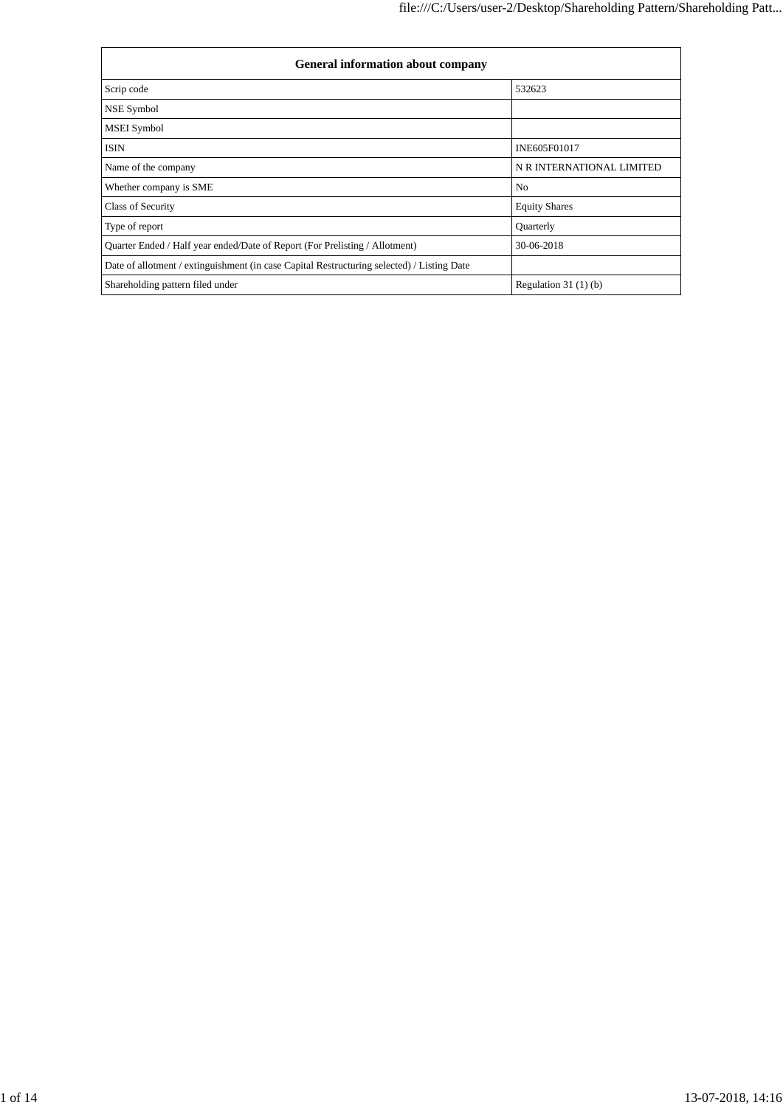| <b>General information about company</b>                                                   |                           |  |  |  |  |  |
|--------------------------------------------------------------------------------------------|---------------------------|--|--|--|--|--|
| Scrip code                                                                                 | 532623                    |  |  |  |  |  |
| NSE Symbol                                                                                 |                           |  |  |  |  |  |
| <b>MSEI</b> Symbol                                                                         |                           |  |  |  |  |  |
| <b>ISIN</b>                                                                                | INE605F01017              |  |  |  |  |  |
| Name of the company                                                                        | N R INTERNATIONAL LIMITED |  |  |  |  |  |
| Whether company is SME                                                                     | N <sub>0</sub>            |  |  |  |  |  |
| Class of Security                                                                          | <b>Equity Shares</b>      |  |  |  |  |  |
| Type of report                                                                             | Quarterly                 |  |  |  |  |  |
| Quarter Ended / Half year ended/Date of Report (For Prelisting / Allotment)                | 30-06-2018                |  |  |  |  |  |
| Date of allotment / extinguishment (in case Capital Restructuring selected) / Listing Date |                           |  |  |  |  |  |
| Shareholding pattern filed under                                                           | Regulation $31(1)(b)$     |  |  |  |  |  |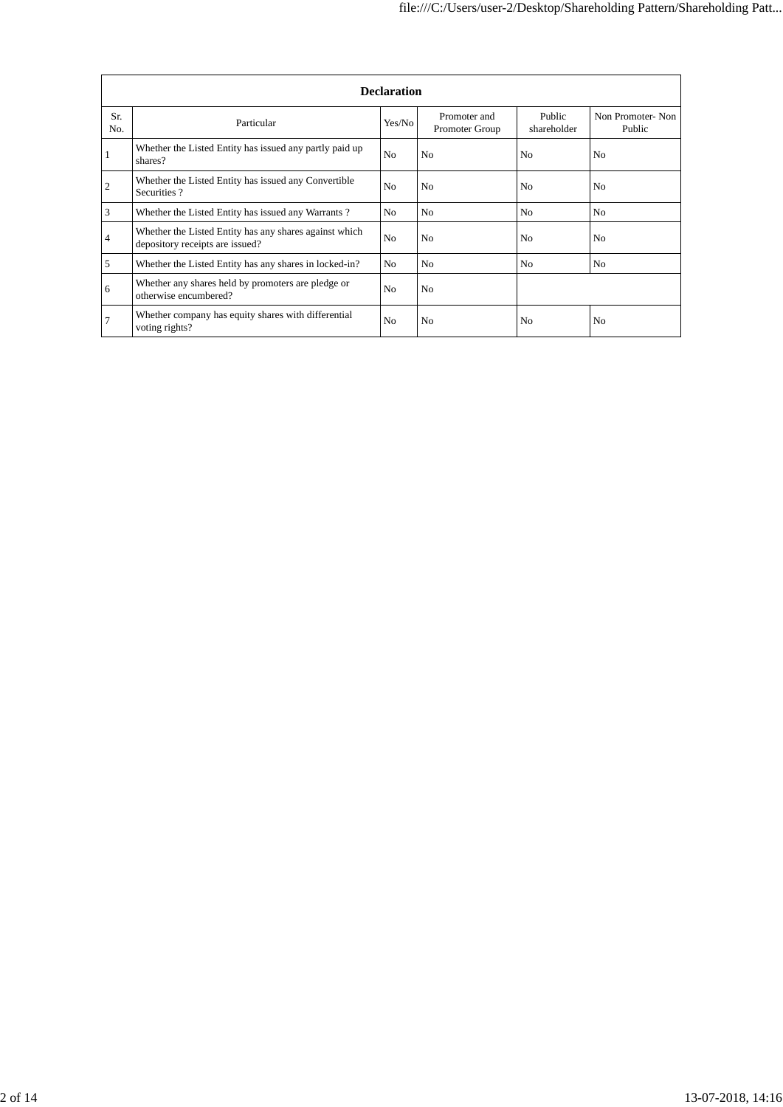|            | <b>Declaration</b>                                                                        |                |                                |                       |                            |  |  |  |  |
|------------|-------------------------------------------------------------------------------------------|----------------|--------------------------------|-----------------------|----------------------------|--|--|--|--|
| Sr.<br>No. | Particular                                                                                | Yes/No         | Promoter and<br>Promoter Group | Public<br>shareholder | Non Promoter-Non<br>Public |  |  |  |  |
|            | Whether the Listed Entity has issued any partly paid up<br>shares?                        | N <sub>0</sub> | N <sub>0</sub>                 | N <sub>0</sub>        | No                         |  |  |  |  |
| 2          | Whether the Listed Entity has issued any Convertible<br>Securities?                       | N <sub>0</sub> | N <sub>0</sub>                 | N <sub>0</sub>        | N <sub>0</sub>             |  |  |  |  |
| 3          | Whether the Listed Entity has issued any Warrants?                                        | No             | N <sub>0</sub>                 | N <sub>0</sub>        | N <sub>0</sub>             |  |  |  |  |
| 4          | Whether the Listed Entity has any shares against which<br>depository receipts are issued? | N <sub>0</sub> | N <sub>0</sub>                 | N <sub>0</sub>        | N <sub>0</sub>             |  |  |  |  |
| 5          | Whether the Listed Entity has any shares in locked-in?                                    | No.            | N <sub>0</sub>                 | N <sub>0</sub>        | N <sub>0</sub>             |  |  |  |  |
| 6          | Whether any shares held by promoters are pledge or<br>otherwise encumbered?               | N <sub>0</sub> | N <sub>0</sub>                 |                       |                            |  |  |  |  |
| 7          | Whether company has equity shares with differential<br>voting rights?                     | N <sub>0</sub> | N <sub>0</sub>                 | N <sub>0</sub>        | N <sub>0</sub>             |  |  |  |  |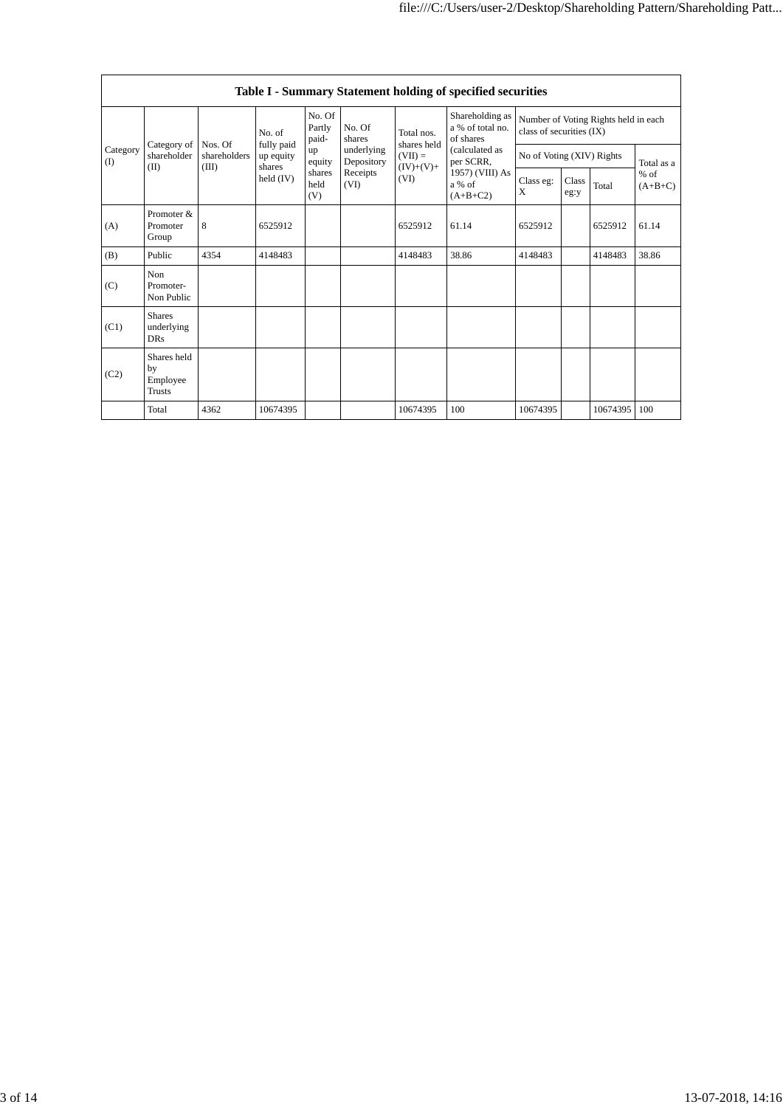|                   | Table I - Summary Statement holding of specified securities |                                  |                         |                       |                                                                                                                                                                                |                                                                  |       |           |               |          |                     |
|-------------------|-------------------------------------------------------------|----------------------------------|-------------------------|-----------------------|--------------------------------------------------------------------------------------------------------------------------------------------------------------------------------|------------------------------------------------------------------|-------|-----------|---------------|----------|---------------------|
|                   | No. Of<br>Partly<br>No. Of<br>No. of<br>paid-<br>shares     |                                  |                         | Total nos.            | Shareholding as<br>a % of total no.<br>of shares                                                                                                                               | Number of Voting Rights held in each<br>class of securities (IX) |       |           |               |          |                     |
| Category<br>$($ I | Category of<br>shareholder                                  | Nos. Of<br>shareholders<br>(III) | fully paid<br>up equity | up<br>equity          | shares held<br>(calculated as<br>underlying<br>$(VII) =$<br>Depository<br>per SCRR,<br>$(IV)+(V)+$<br>1957) (VIII) As<br>Receipts<br>(VI)<br>(VI)<br>a % of<br>X<br>$(A+B+C2)$ | No of Voting (XIV) Rights                                        |       |           | Total as a    |          |                     |
| (II)              |                                                             |                                  | shares<br>held $(IV)$   | shares<br>held<br>(V) |                                                                                                                                                                                |                                                                  |       | Class eg: | Class<br>eg:y | Total    | $%$ of<br>$(A+B+C)$ |
| (A)               | Promoter &<br>Promoter<br>Group                             | 8                                | 6525912                 |                       |                                                                                                                                                                                | 6525912                                                          | 61.14 | 6525912   |               | 6525912  | 61.14               |
| (B)               | Public                                                      | 4354                             | 4148483                 |                       |                                                                                                                                                                                | 4148483                                                          | 38.86 | 4148483   |               | 4148483  | 38.86               |
| (C)               | Non.<br>Promoter-<br>Non Public                             |                                  |                         |                       |                                                                                                                                                                                |                                                                  |       |           |               |          |                     |
| (C1)              | <b>Shares</b><br>underlying<br><b>DRs</b>                   |                                  |                         |                       |                                                                                                                                                                                |                                                                  |       |           |               |          |                     |
| (C2)              | Shares held<br>by<br>Employee<br>Trusts                     |                                  |                         |                       |                                                                                                                                                                                |                                                                  |       |           |               |          |                     |
|                   | Total                                                       | 4362                             | 10674395                |                       |                                                                                                                                                                                | 10674395                                                         | 100   | 10674395  |               | 10674395 | 100                 |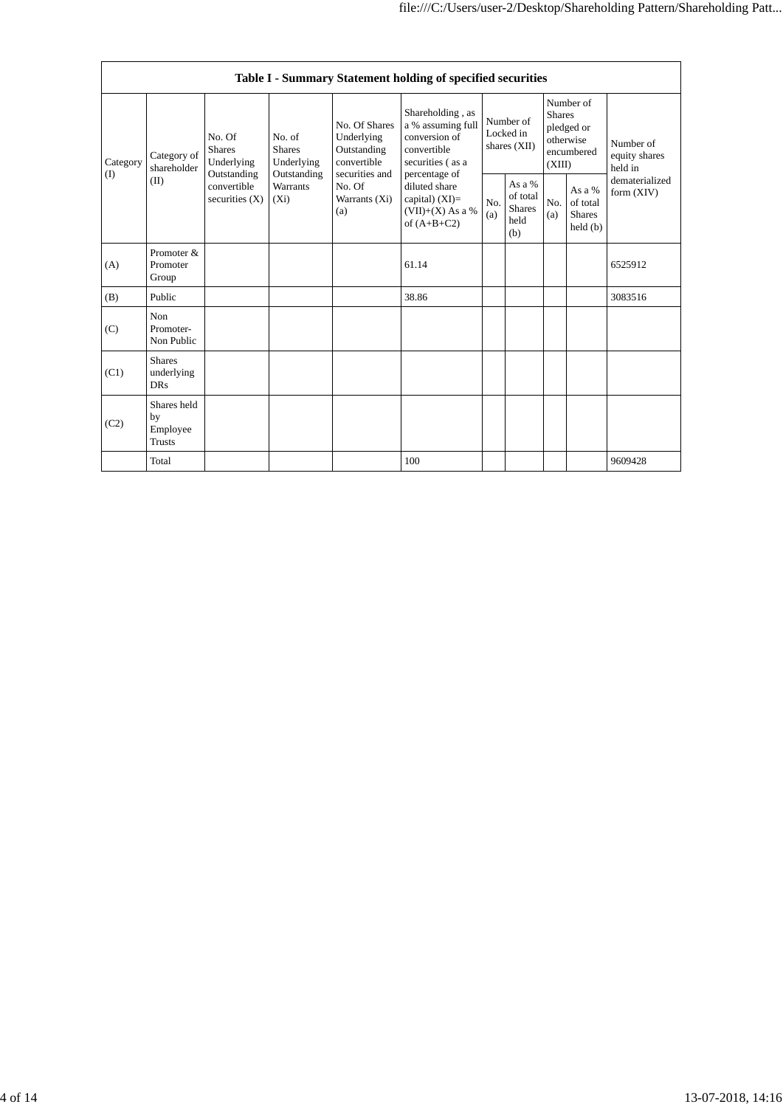|                 | Table I - Summary Statement holding of specified securities |                                                                                                                                              |                 |                                                                                                               |                                                                                                                                                                                        |                                        |                                                    |                                                                               |                                                |                                       |
|-----------------|-------------------------------------------------------------|----------------------------------------------------------------------------------------------------------------------------------------------|-----------------|---------------------------------------------------------------------------------------------------------------|----------------------------------------------------------------------------------------------------------------------------------------------------------------------------------------|----------------------------------------|----------------------------------------------------|-------------------------------------------------------------------------------|------------------------------------------------|---------------------------------------|
| Category<br>(I) | Category of<br>shareholder<br>(II)                          | No. Of<br>No. of<br><b>Shares</b><br><b>Shares</b><br>Underlying<br>Outstanding<br>Outstanding<br>convertible<br>securities $(X)$<br>$(X_i)$ | Underlying      | No. Of Shares<br>Underlying<br>Outstanding<br>convertible<br>securities and<br>No. Of<br>Warrants (Xi)<br>(a) | Shareholding, as<br>a % assuming full<br>conversion of<br>convertible<br>securities (as a<br>percentage of<br>diluted share<br>capital) $(XI)=$<br>$(VII)+(X)$ As a %<br>of $(A+B+C2)$ | Number of<br>Locked in<br>shares (XII) |                                                    | Number of<br><b>Shares</b><br>pledged or<br>otherwise<br>encumbered<br>(XIII) |                                                | Number of<br>equity shares<br>held in |
|                 |                                                             |                                                                                                                                              | <b>Warrants</b> |                                                                                                               |                                                                                                                                                                                        | No.<br>(a)                             | As a %<br>of total<br><b>Shares</b><br>held<br>(b) | No.<br>(a)                                                                    | As a %<br>of total<br><b>Shares</b><br>held(b) | dematerialized<br>form (XIV)          |
| (A)             | Promoter &<br>Promoter<br>Group                             |                                                                                                                                              |                 |                                                                                                               | 61.14                                                                                                                                                                                  |                                        |                                                    |                                                                               |                                                | 6525912                               |
| (B)             | Public                                                      |                                                                                                                                              |                 |                                                                                                               | 38.86                                                                                                                                                                                  |                                        |                                                    |                                                                               |                                                | 3083516                               |
| (C)             | Non<br>Promoter-<br>Non Public                              |                                                                                                                                              |                 |                                                                                                               |                                                                                                                                                                                        |                                        |                                                    |                                                                               |                                                |                                       |
| (C1)            | <b>Shares</b><br>underlying<br><b>DRs</b>                   |                                                                                                                                              |                 |                                                                                                               |                                                                                                                                                                                        |                                        |                                                    |                                                                               |                                                |                                       |
| (C2)            | Shares held<br>by<br>Employee<br><b>Trusts</b>              |                                                                                                                                              |                 |                                                                                                               |                                                                                                                                                                                        |                                        |                                                    |                                                                               |                                                |                                       |
|                 | Total                                                       |                                                                                                                                              |                 |                                                                                                               | 100                                                                                                                                                                                    |                                        |                                                    |                                                                               |                                                | 9609428                               |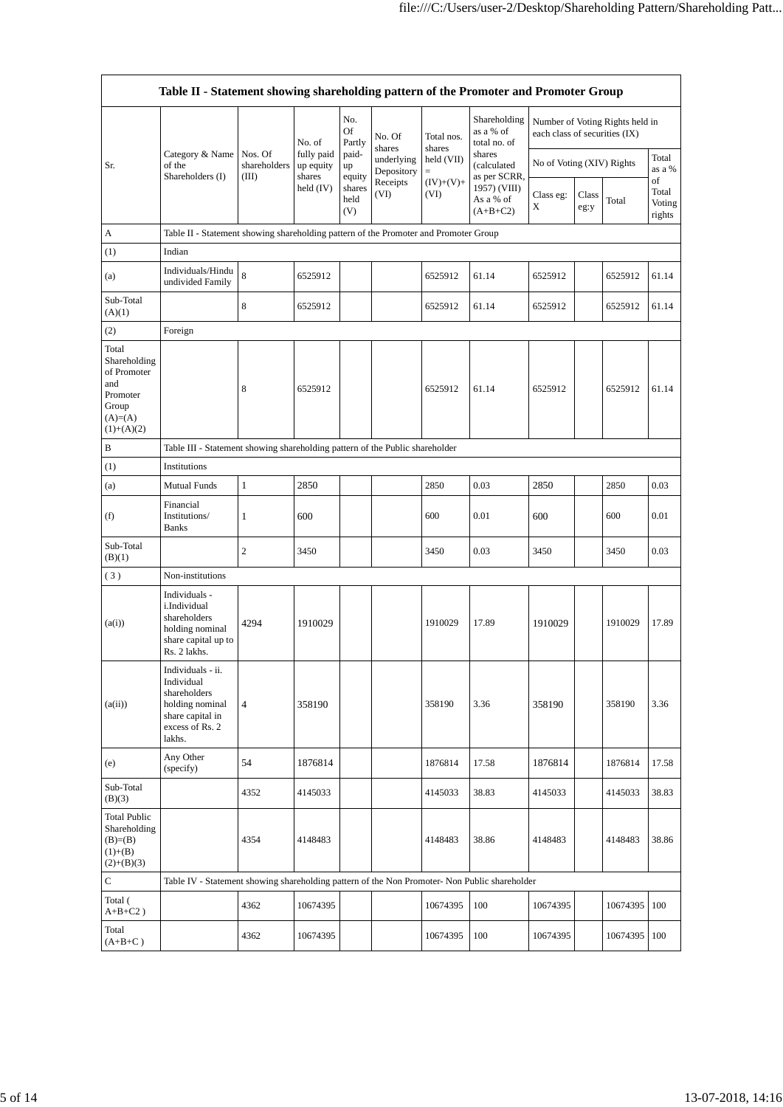|                                                                                               | Table II - Statement showing shareholding pattern of the Promoter and Promoter Group                                |                                  |                                   |                            |                          |                        |                                           |                               |               |                                 |                                 |
|-----------------------------------------------------------------------------------------------|---------------------------------------------------------------------------------------------------------------------|----------------------------------|-----------------------------------|----------------------------|--------------------------|------------------------|-------------------------------------------|-------------------------------|---------------|---------------------------------|---------------------------------|
|                                                                                               |                                                                                                                     |                                  | No. of                            | No.<br><b>Of</b><br>Partly | No. Of<br>shares         | Total nos.<br>shares   | Shareholding<br>as a % of<br>total no. of | each class of securities (IX) |               | Number of Voting Rights held in |                                 |
| Sr.                                                                                           | Category & Name<br>of the<br>Shareholders (I)                                                                       | Nos. Of<br>shareholders<br>(III) | fully paid<br>up equity<br>shares | paid-<br>up<br>equity      | underlying<br>Depository | held (VII)<br>$\equiv$ | shares<br>(calculated<br>as per SCRR,     | No of Voting (XIV) Rights     |               |                                 | Total<br>as a %                 |
|                                                                                               |                                                                                                                     |                                  | held $(IV)$                       | shares<br>held<br>(V)      | Receipts<br>(VI)         | $(IV)+(V)+$<br>(VI)    | 1957) (VIII)<br>As a % of<br>$(A+B+C2)$   | Class eg:<br>X                | Class<br>eg:y | Total                           | of<br>Total<br>Voting<br>rights |
| А                                                                                             | Table II - Statement showing shareholding pattern of the Promoter and Promoter Group                                |                                  |                                   |                            |                          |                        |                                           |                               |               |                                 |                                 |
| (1)                                                                                           | Indian                                                                                                              |                                  |                                   |                            |                          |                        |                                           |                               |               |                                 |                                 |
| (a)                                                                                           | Individuals/Hindu<br>undivided Family                                                                               | 8                                | 6525912                           |                            |                          | 6525912                | 61.14                                     | 6525912                       |               | 6525912                         | 61.14                           |
| Sub-Total<br>(A)(1)                                                                           |                                                                                                                     | 8                                | 6525912                           |                            |                          | 6525912                | 61.14                                     | 6525912                       |               | 6525912                         | 61.14                           |
| (2)                                                                                           | Foreign                                                                                                             |                                  |                                   |                            |                          |                        |                                           |                               |               |                                 |                                 |
| Total<br>Shareholding<br>of Promoter<br>and<br>Promoter<br>Group<br>$(A)=(A)$<br>$(1)+(A)(2)$ |                                                                                                                     | 8                                | 6525912                           |                            |                          | 6525912                | 61.14                                     | 6525912                       |               | 6525912                         | 61.14                           |
| B                                                                                             | Table III - Statement showing shareholding pattern of the Public shareholder                                        |                                  |                                   |                            |                          |                        |                                           |                               |               |                                 |                                 |
| (1)                                                                                           | Institutions                                                                                                        |                                  |                                   |                            |                          |                        |                                           |                               |               |                                 |                                 |
| (a)                                                                                           | <b>Mutual Funds</b>                                                                                                 | $\mathbf{1}$                     | 2850                              |                            |                          | 2850                   | 0.03                                      | 2850                          |               | 2850                            | 0.03                            |
| (f)                                                                                           | Financial<br>Institutions/<br><b>Banks</b>                                                                          | 1                                | 600                               |                            |                          | 600                    | 0.01                                      | 600                           |               | 600                             | 0.01                            |
| Sub-Total<br>(B)(1)                                                                           |                                                                                                                     | $\overline{c}$                   | 3450                              |                            |                          | 3450                   | 0.03                                      | 3450                          |               | 3450                            | 0.03                            |
| (3)                                                                                           | Non-institutions                                                                                                    |                                  |                                   |                            |                          |                        |                                           |                               |               |                                 |                                 |
| (a(i))                                                                                        | Individuals -<br>i.Individual<br>shareholders<br>holding nominal<br>share capital up to<br>Rs. 2 lakhs.             | 4294                             | 1910029                           |                            |                          | 1910029                | 17.89                                     | 1910029                       |               | 1910029                         | 17.89                           |
| (a(ii))                                                                                       | Individuals - ii.<br>Individual<br>shareholders<br>holding nominal<br>share capital in<br>excess of Rs. 2<br>lakhs. | $\overline{4}$                   | 358190                            |                            |                          | 358190                 | 3.36                                      | 358190                        |               | 358190                          | 3.36                            |
| (e)                                                                                           | Any Other<br>(specify)                                                                                              | 54                               | 1876814                           |                            |                          | 1876814                | 17.58                                     | 1876814                       |               | 1876814                         | 17.58                           |
| Sub-Total<br>(B)(3)                                                                           |                                                                                                                     | 4352                             | 4145033                           |                            |                          | 4145033                | 38.83                                     | 4145033                       |               | 4145033                         | 38.83                           |
| <b>Total Public</b><br>Shareholding<br>$(B)=B)$<br>$(1)+(B)$<br>$(2)+(B)(3)$                  |                                                                                                                     | 4354                             | 4148483                           |                            |                          | 4148483                | 38.86                                     | 4148483                       |               | 4148483                         | 38.86                           |
| $\mathsf{C}$                                                                                  | Table IV - Statement showing shareholding pattern of the Non Promoter- Non Public shareholder                       |                                  |                                   |                            |                          |                        |                                           |                               |               |                                 |                                 |
| Total (<br>$A+B+C2$ )                                                                         |                                                                                                                     | 4362                             | 10674395                          |                            |                          | 10674395               | 100                                       | 10674395                      |               | 10674395                        | 100                             |
| Total<br>$(A+B+C)$                                                                            |                                                                                                                     | 4362                             | 10674395                          |                            |                          | 10674395               | 100                                       | 10674395                      |               | 10674395                        | 100                             |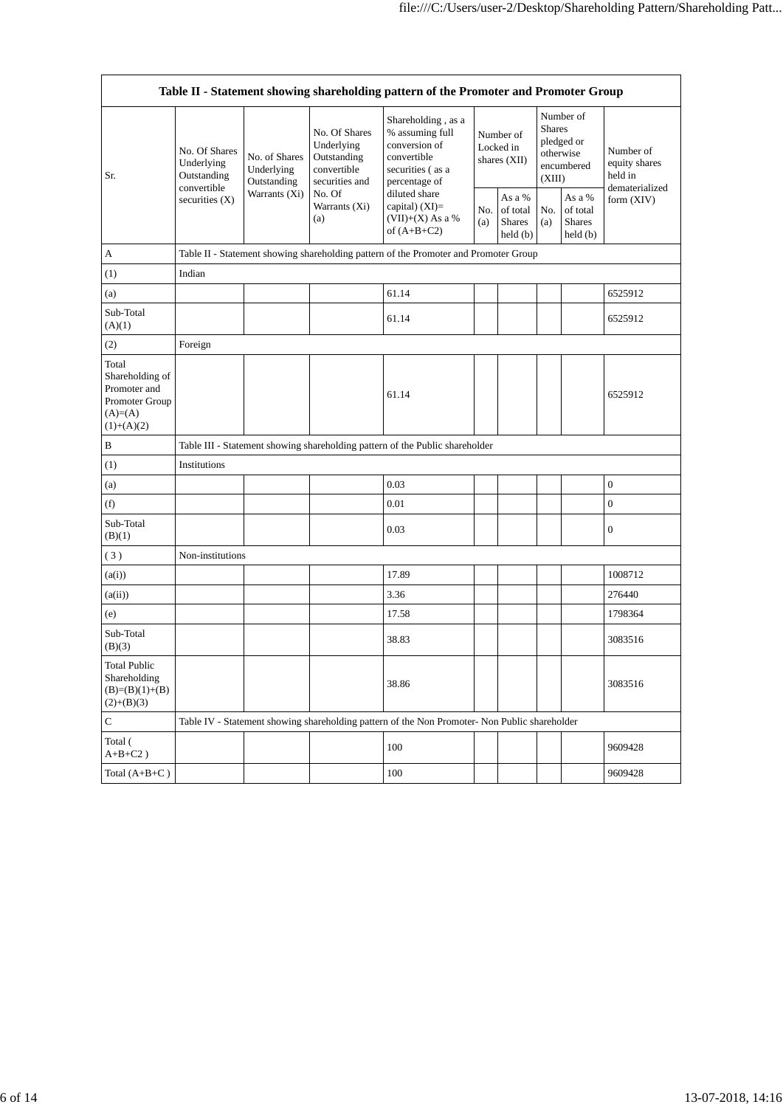| Table II - Statement showing shareholding pattern of the Promoter and Promoter Group     |                                                                               |                                                             |                                                                                                               |                                                                                                            |                                          |                                                         |                                                                               |                                                |                                       |
|------------------------------------------------------------------------------------------|-------------------------------------------------------------------------------|-------------------------------------------------------------|---------------------------------------------------------------------------------------------------------------|------------------------------------------------------------------------------------------------------------|------------------------------------------|---------------------------------------------------------|-------------------------------------------------------------------------------|------------------------------------------------|---------------------------------------|
| Sr.                                                                                      | No. Of Shares<br>Underlying<br>Outstanding<br>convertible<br>securities $(X)$ | No. of Shares<br>Underlying<br>Outstanding<br>Warrants (Xi) | No. Of Shares<br>Underlying<br>Outstanding<br>convertible<br>securities and<br>No. Of<br>Warrants (Xi)<br>(a) | Shareholding, as a<br>% assuming full<br>conversion of<br>convertible<br>securities (as a<br>percentage of | Number of<br>Locked in<br>shares $(XII)$ |                                                         | Number of<br><b>Shares</b><br>pledged or<br>otherwise<br>encumbered<br>(XIII) |                                                | Number of<br>equity shares<br>held in |
|                                                                                          |                                                                               |                                                             |                                                                                                               | diluted share<br>capital) (XI)=<br>$(VII)+(X)$ As a %<br>of $(A+B+C2)$                                     | No.<br>(a)                               | As a %<br>of total<br>Shares<br>$\text{held}(\text{b})$ | No.<br>(a)                                                                    | As a %<br>of total<br><b>Shares</b><br>held(b) | dematerialized<br>form (XIV)          |
| А                                                                                        |                                                                               |                                                             |                                                                                                               | Table II - Statement showing shareholding pattern of the Promoter and Promoter Group                       |                                          |                                                         |                                                                               |                                                |                                       |
| (1)                                                                                      | Indian                                                                        |                                                             |                                                                                                               |                                                                                                            |                                          |                                                         |                                                                               |                                                |                                       |
| (a)                                                                                      |                                                                               |                                                             |                                                                                                               | 61.14                                                                                                      |                                          |                                                         |                                                                               |                                                | 6525912                               |
| Sub-Total<br>(A)(1)                                                                      |                                                                               |                                                             |                                                                                                               | 61.14                                                                                                      |                                          |                                                         |                                                                               |                                                | 6525912                               |
| (2)                                                                                      | Foreign                                                                       |                                                             |                                                                                                               |                                                                                                            |                                          |                                                         |                                                                               |                                                |                                       |
| Total<br>Shareholding of<br>Promoter and<br>Promoter Group<br>$(A)= (A)$<br>$(1)+(A)(2)$ |                                                                               |                                                             |                                                                                                               | 61.14                                                                                                      |                                          |                                                         |                                                                               |                                                | 6525912                               |
| B                                                                                        |                                                                               |                                                             |                                                                                                               | Table III - Statement showing shareholding pattern of the Public shareholder                               |                                          |                                                         |                                                                               |                                                |                                       |
| (1)                                                                                      | Institutions                                                                  |                                                             |                                                                                                               |                                                                                                            |                                          |                                                         |                                                                               |                                                |                                       |
| (a)                                                                                      |                                                                               |                                                             |                                                                                                               | 0.03                                                                                                       |                                          |                                                         |                                                                               |                                                | $\boldsymbol{0}$                      |
| (f)                                                                                      |                                                                               |                                                             |                                                                                                               | 0.01                                                                                                       |                                          |                                                         |                                                                               |                                                | $\boldsymbol{0}$                      |
| Sub-Total<br>(B)(1)                                                                      |                                                                               |                                                             |                                                                                                               | 0.03                                                                                                       |                                          |                                                         |                                                                               |                                                | $\boldsymbol{0}$                      |
| (3)                                                                                      | Non-institutions                                                              |                                                             |                                                                                                               |                                                                                                            |                                          |                                                         |                                                                               |                                                |                                       |
| (a(i))                                                                                   |                                                                               |                                                             |                                                                                                               | 17.89                                                                                                      |                                          |                                                         |                                                                               |                                                | 1008712                               |
| (a(ii))                                                                                  |                                                                               |                                                             |                                                                                                               | 3.36                                                                                                       |                                          |                                                         |                                                                               |                                                | 276440                                |
| (e)                                                                                      |                                                                               |                                                             |                                                                                                               | 17.58                                                                                                      |                                          |                                                         |                                                                               |                                                | 1798364                               |
| Sub-Total<br>(B)(3)                                                                      |                                                                               |                                                             |                                                                                                               | 38.83                                                                                                      |                                          |                                                         |                                                                               |                                                | 3083516                               |
| <b>Total Public</b><br>Shareholding<br>$(B)=(B)(1)+(B)$<br>$(2)+(B)(3)$                  |                                                                               |                                                             |                                                                                                               | 38.86                                                                                                      |                                          |                                                         |                                                                               |                                                | 3083516                               |
| $\mathbf C$                                                                              |                                                                               |                                                             |                                                                                                               | Table IV - Statement showing shareholding pattern of the Non Promoter- Non Public shareholder              |                                          |                                                         |                                                                               |                                                |                                       |
| Total (<br>$\mathrm{A{+}B{+}C2}$ )                                                       |                                                                               |                                                             |                                                                                                               | 100                                                                                                        |                                          |                                                         |                                                                               |                                                | 9609428                               |
| Total $(A+B+C)$                                                                          |                                                                               |                                                             |                                                                                                               | 100                                                                                                        |                                          |                                                         |                                                                               |                                                | 9609428                               |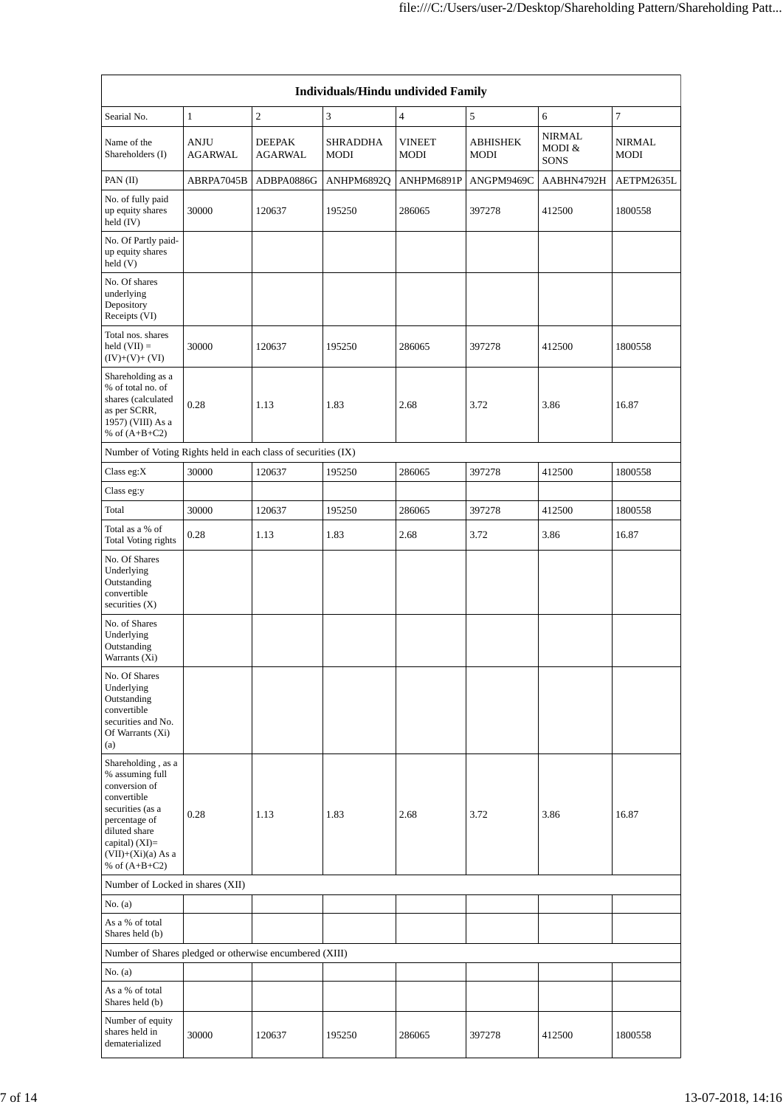| Individuals/Hindu undivided Family                                                                                                                                                         |                               |                                 |                         |                       |                  |                                        |                       |  |
|--------------------------------------------------------------------------------------------------------------------------------------------------------------------------------------------|-------------------------------|---------------------------------|-------------------------|-----------------------|------------------|----------------------------------------|-----------------------|--|
| Searial No.                                                                                                                                                                                | $\mathbf{1}$                  | $\boldsymbol{2}$                | 3                       | $\overline{4}$        | 5                | 6                                      | 7                     |  |
| Name of the<br>Shareholders (I)                                                                                                                                                            | <b>ANJU</b><br><b>AGARWAL</b> | <b>DEEPAK</b><br><b>AGARWAL</b> | <b>SHRADDHA</b><br>MODI | <b>VINEET</b><br>MODI | ABHISHEK<br>MODI | <b>NIRMAL</b><br>MODI &<br><b>SONS</b> | <b>NIRMAL</b><br>MODI |  |
| PAN (II)                                                                                                                                                                                   | ABRPA7045B                    | ADBPA0886G                      | ANHPM6892Q              | ANHPM6891P            | ANGPM9469C       | AABHN4792H                             | AETPM2635L            |  |
| No. of fully paid<br>up equity shares<br>held (IV)                                                                                                                                         | 30000                         | 120637                          | 195250                  | 286065                | 397278           | 412500                                 | 1800558               |  |
| No. Of Partly paid-<br>up equity shares<br>held (V)                                                                                                                                        |                               |                                 |                         |                       |                  |                                        |                       |  |
| No. Of shares<br>underlying<br>Depository<br>Receipts (VI)                                                                                                                                 |                               |                                 |                         |                       |                  |                                        |                       |  |
| Total nos. shares<br>$held (VII) =$<br>$(IV)+(V)+(VI)$                                                                                                                                     | 30000                         | 120637                          | 195250                  | 286065                | 397278           | 412500                                 | 1800558               |  |
| Shareholding as a<br>% of total no. of<br>shares (calculated<br>as per SCRR,<br>1957) (VIII) As a<br>% of $(A+B+C2)$                                                                       | 0.28                          | 1.13                            | 1.83                    | 2.68                  | 3.72             | 3.86                                   | 16.87                 |  |
| Number of Voting Rights held in each class of securities (IX)                                                                                                                              |                               |                                 |                         |                       |                  |                                        |                       |  |
| Class eg:X                                                                                                                                                                                 | 30000                         | 120637                          | 195250                  | 286065                | 397278           | 412500                                 | 1800558               |  |
| Class eg:y                                                                                                                                                                                 |                               |                                 |                         |                       |                  |                                        |                       |  |
| Total                                                                                                                                                                                      | 30000                         | 120637                          | 195250                  | 286065                | 397278           | 412500                                 | 1800558               |  |
| Total as a % of<br><b>Total Voting rights</b>                                                                                                                                              | 0.28                          | 1.13                            | 1.83                    | 2.68                  | 3.72             | 3.86                                   | 16.87                 |  |
| No. Of Shares<br>Underlying<br>Outstanding<br>convertible<br>securities $(X)$                                                                                                              |                               |                                 |                         |                       |                  |                                        |                       |  |
| No. of Shares<br>Underlying<br>Outstanding<br>Warrants (Xi)                                                                                                                                |                               |                                 |                         |                       |                  |                                        |                       |  |
| No. Of Shares<br>Underlying<br>Outstanding<br>convertible<br>securities and No.<br>Of Warrants (Xi)<br>(a)                                                                                 |                               |                                 |                         |                       |                  |                                        |                       |  |
| Shareholding, as a<br>% assuming full<br>conversion of<br>convertible<br>securities (as a<br>percentage of<br>diluted share<br>capital) $(XI)=$<br>$(VII)+(Xi)(a)$ As a<br>% of $(A+B+C2)$ | 0.28                          | 1.13                            | 1.83                    | 2.68                  | 3.72             | 3.86                                   | 16.87                 |  |
| Number of Locked in shares (XII)                                                                                                                                                           |                               |                                 |                         |                       |                  |                                        |                       |  |
| No. (a)                                                                                                                                                                                    |                               |                                 |                         |                       |                  |                                        |                       |  |
| As a % of total<br>Shares held (b)                                                                                                                                                         |                               |                                 |                         |                       |                  |                                        |                       |  |
| Number of Shares pledged or otherwise encumbered (XIII)                                                                                                                                    |                               |                                 |                         |                       |                  |                                        |                       |  |
| No. (a)                                                                                                                                                                                    |                               |                                 |                         |                       |                  |                                        |                       |  |
| As a % of total<br>Shares held (b)                                                                                                                                                         |                               |                                 |                         |                       |                  |                                        |                       |  |
| Number of equity<br>shares held in<br>dematerialized                                                                                                                                       | 30000                         | 120637                          | 195250                  | 286065                | 397278           | 412500                                 | 1800558               |  |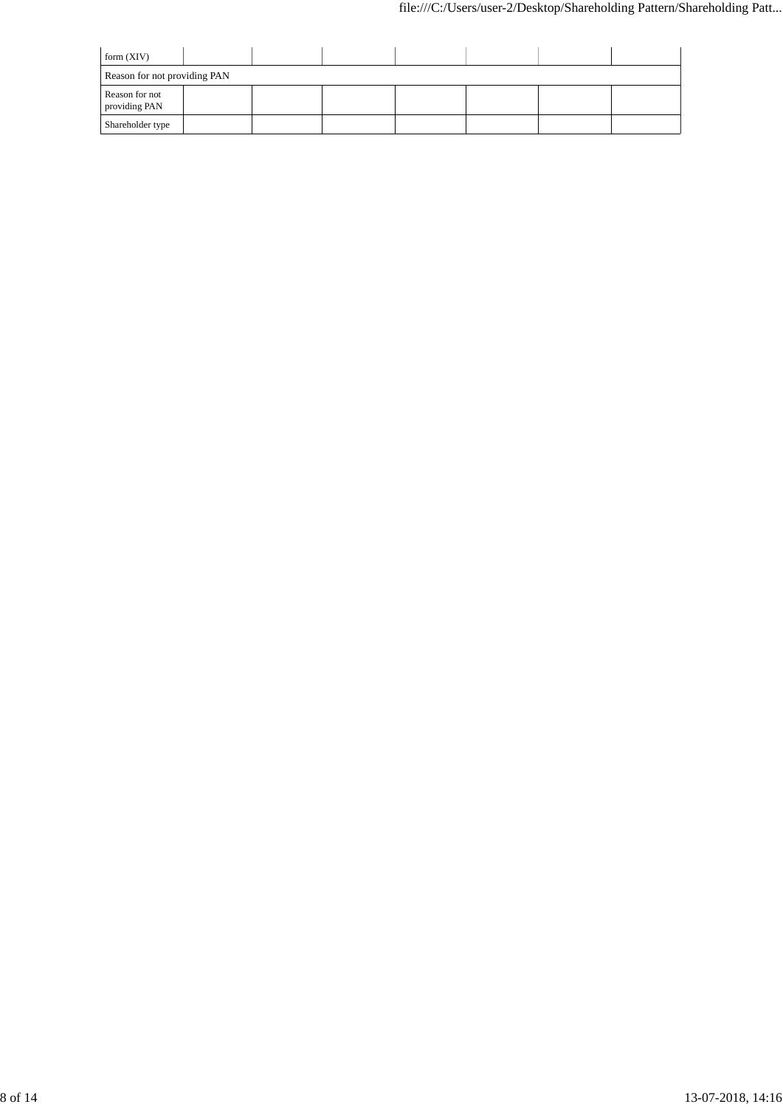| form $(XIV)$                    |  |  |  |  |  |  |  |  |
|---------------------------------|--|--|--|--|--|--|--|--|
| Reason for not providing PAN    |  |  |  |  |  |  |  |  |
| Reason for not<br>providing PAN |  |  |  |  |  |  |  |  |
| Shareholder type                |  |  |  |  |  |  |  |  |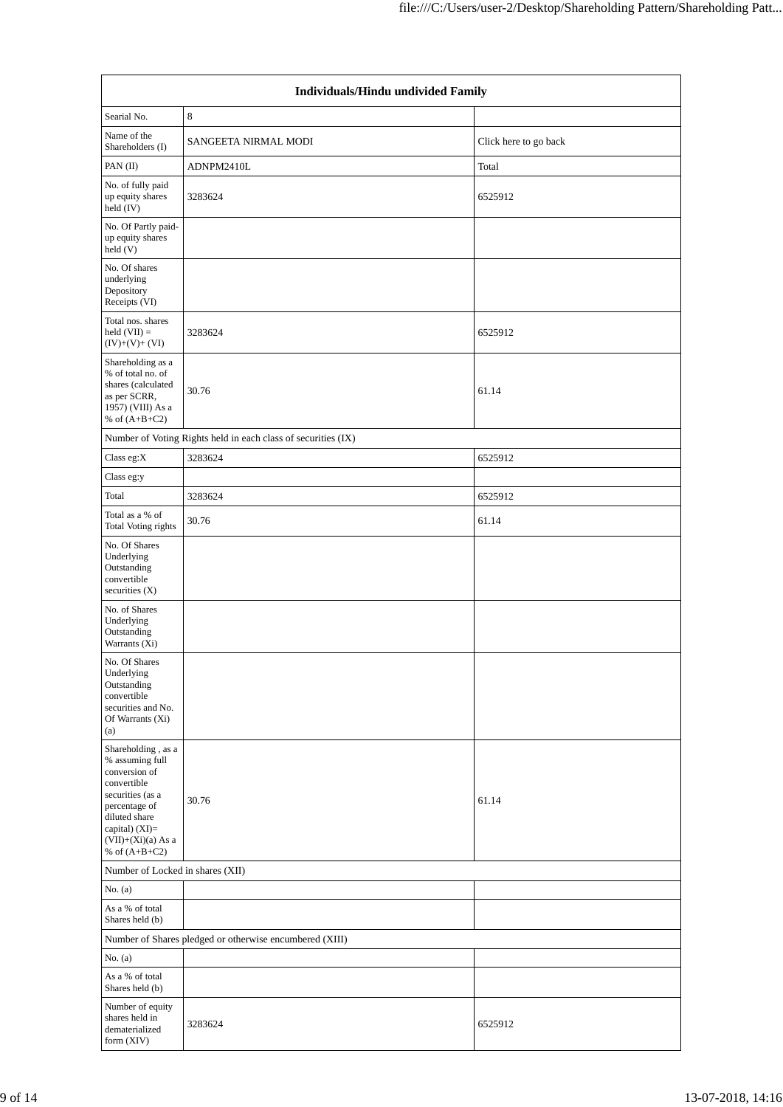|                                                                                                                                                                                            | Individuals/Hindu undivided Family                            |                       |  |  |  |  |  |
|--------------------------------------------------------------------------------------------------------------------------------------------------------------------------------------------|---------------------------------------------------------------|-----------------------|--|--|--|--|--|
| Searial No.                                                                                                                                                                                | $\,$ 8 $\,$                                                   |                       |  |  |  |  |  |
| Name of the<br>Shareholders (I)                                                                                                                                                            | SANGEETA NIRMAL MODI                                          | Click here to go back |  |  |  |  |  |
| PAN $(II)$                                                                                                                                                                                 | ADNPM2410L                                                    | Total                 |  |  |  |  |  |
| No. of fully paid<br>up equity shares<br>held (IV)                                                                                                                                         | 3283624                                                       | 6525912               |  |  |  |  |  |
| No. Of Partly paid-<br>up equity shares<br>held(V)                                                                                                                                         |                                                               |                       |  |  |  |  |  |
| No. Of shares<br>underlying<br>Depository<br>Receipts (VI)                                                                                                                                 |                                                               |                       |  |  |  |  |  |
| Total nos. shares<br>held $(VII) =$<br>$(IV)+(V)+(VI)$                                                                                                                                     | 3283624                                                       | 6525912               |  |  |  |  |  |
| Shareholding as a<br>% of total no. of<br>shares (calculated<br>as per SCRR,<br>1957) (VIII) As a<br>% of $(A+B+C2)$                                                                       | 30.76                                                         | 61.14                 |  |  |  |  |  |
|                                                                                                                                                                                            | Number of Voting Rights held in each class of securities (IX) |                       |  |  |  |  |  |
| Class eg:X                                                                                                                                                                                 | 3283624                                                       | 6525912               |  |  |  |  |  |
| Class eg:y                                                                                                                                                                                 |                                                               |                       |  |  |  |  |  |
| Total                                                                                                                                                                                      | 3283624                                                       | 6525912               |  |  |  |  |  |
| Total as a % of<br><b>Total Voting rights</b>                                                                                                                                              | 30.76                                                         | 61.14                 |  |  |  |  |  |
| No. Of Shares<br>Underlying<br>Outstanding<br>convertible<br>securities $(X)$                                                                                                              |                                                               |                       |  |  |  |  |  |
| No. of Shares<br>Underlying<br>Outstanding<br>Warrants (Xi)                                                                                                                                |                                                               |                       |  |  |  |  |  |
| No. Of Shares<br>Underlying<br>Outstanding<br>convertible<br>securities and No.<br>Of Warrants (Xi)<br>(a)                                                                                 |                                                               |                       |  |  |  |  |  |
| Shareholding, as a<br>% assuming full<br>conversion of<br>convertible<br>securities (as a<br>percentage of<br>diluted share<br>capital) $(XI)=$<br>$(VII)+(Xi)(a)$ As a<br>% of $(A+B+C2)$ | 30.76                                                         | 61.14                 |  |  |  |  |  |
| Number of Locked in shares (XII)                                                                                                                                                           |                                                               |                       |  |  |  |  |  |
| No. $(a)$                                                                                                                                                                                  |                                                               |                       |  |  |  |  |  |
| As a % of total<br>Shares held (b)                                                                                                                                                         |                                                               |                       |  |  |  |  |  |
|                                                                                                                                                                                            | Number of Shares pledged or otherwise encumbered (XIII)       |                       |  |  |  |  |  |
| No. $(a)$                                                                                                                                                                                  |                                                               |                       |  |  |  |  |  |
| As a % of total<br>Shares held (b)                                                                                                                                                         |                                                               |                       |  |  |  |  |  |
| Number of equity<br>shares held in<br>dematerialized<br>form (XIV)                                                                                                                         | 3283624                                                       | 6525912               |  |  |  |  |  |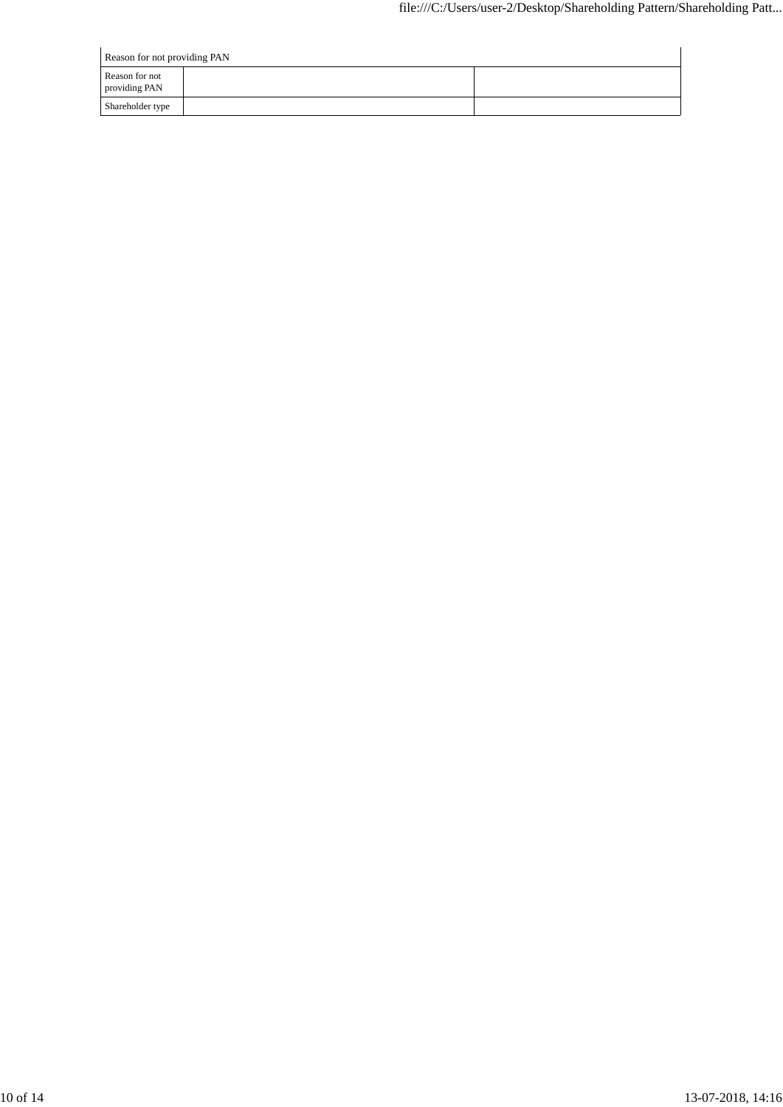| Reason for not providing PAN    |  |  |  |  |  |  |
|---------------------------------|--|--|--|--|--|--|
| Reason for not<br>providing PAN |  |  |  |  |  |  |
| Shareholder type                |  |  |  |  |  |  |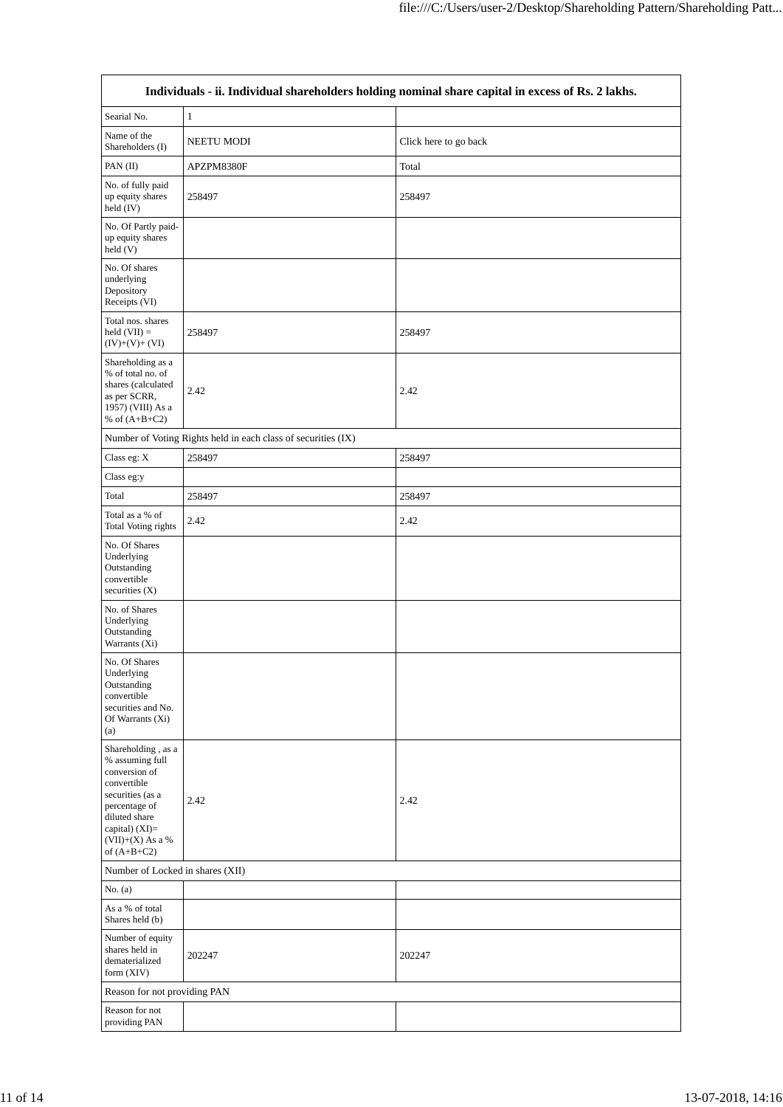|                                                                                                                                                                                           |                                                               | Individuals - ii. Individual shareholders holding nominal share capital in excess of Rs. 2 lakhs. |
|-------------------------------------------------------------------------------------------------------------------------------------------------------------------------------------------|---------------------------------------------------------------|---------------------------------------------------------------------------------------------------|
| Searial No.                                                                                                                                                                               | $\mathbf{1}$                                                  |                                                                                                   |
| Name of the<br>Shareholders (I)                                                                                                                                                           | NEETU MODI                                                    | Click here to go back                                                                             |
| PAN $(II)$                                                                                                                                                                                | APZPM8380F                                                    | Total                                                                                             |
| No. of fully paid<br>up equity shares<br>held (IV)                                                                                                                                        | 258497                                                        | 258497                                                                                            |
| No. Of Partly paid-<br>up equity shares<br>held(V)                                                                                                                                        |                                                               |                                                                                                   |
| No. Of shares<br>underlying<br>Depository<br>Receipts (VI)                                                                                                                                |                                                               |                                                                                                   |
| Total nos. shares<br>$held (VII) =$<br>$(IV)+(V)+(VI)$                                                                                                                                    | 258497                                                        | 258497                                                                                            |
| Shareholding as a<br>% of total no. of<br>shares (calculated<br>as per SCRR,<br>1957) (VIII) As a<br>% of $(A+B+C2)$                                                                      | 2.42                                                          | 2.42                                                                                              |
|                                                                                                                                                                                           | Number of Voting Rights held in each class of securities (IX) |                                                                                                   |
| Class eg: X                                                                                                                                                                               | 258497                                                        | 258497                                                                                            |
| Class eg:y                                                                                                                                                                                |                                                               |                                                                                                   |
| Total                                                                                                                                                                                     | 258497                                                        | 258497                                                                                            |
| Total as a % of<br><b>Total Voting rights</b>                                                                                                                                             | 2.42                                                          | 2.42                                                                                              |
| No. Of Shares<br>Underlying<br>Outstanding<br>convertible<br>securities (X)                                                                                                               |                                                               |                                                                                                   |
| No. of Shares<br>Underlying<br>Outstanding<br>Warrants (Xi)                                                                                                                               |                                                               |                                                                                                   |
| No. Of Shares<br>Underlying<br>Outstanding<br>convertible<br>securities and No.<br>Of Warrants (Xi)<br>(a)                                                                                |                                                               |                                                                                                   |
| Shareholding, as a<br>% assuming full<br>conversion of<br>convertible<br>securities (as a<br>percentage of<br>diluted share<br>capital) $(XI)=$<br>$(VII)+(X)$ As a $\%$<br>of $(A+B+C2)$ | 2.42                                                          | 2.42                                                                                              |
| Number of Locked in shares (XII)                                                                                                                                                          |                                                               |                                                                                                   |
| No. $(a)$<br>As a % of total<br>Shares held (b)                                                                                                                                           |                                                               |                                                                                                   |
| Number of equity<br>shares held in<br>dematerialized<br>form (XIV)                                                                                                                        | 202247                                                        | 202247                                                                                            |
| Reason for not providing PAN                                                                                                                                                              |                                                               |                                                                                                   |
| Reason for not<br>providing PAN                                                                                                                                                           |                                                               |                                                                                                   |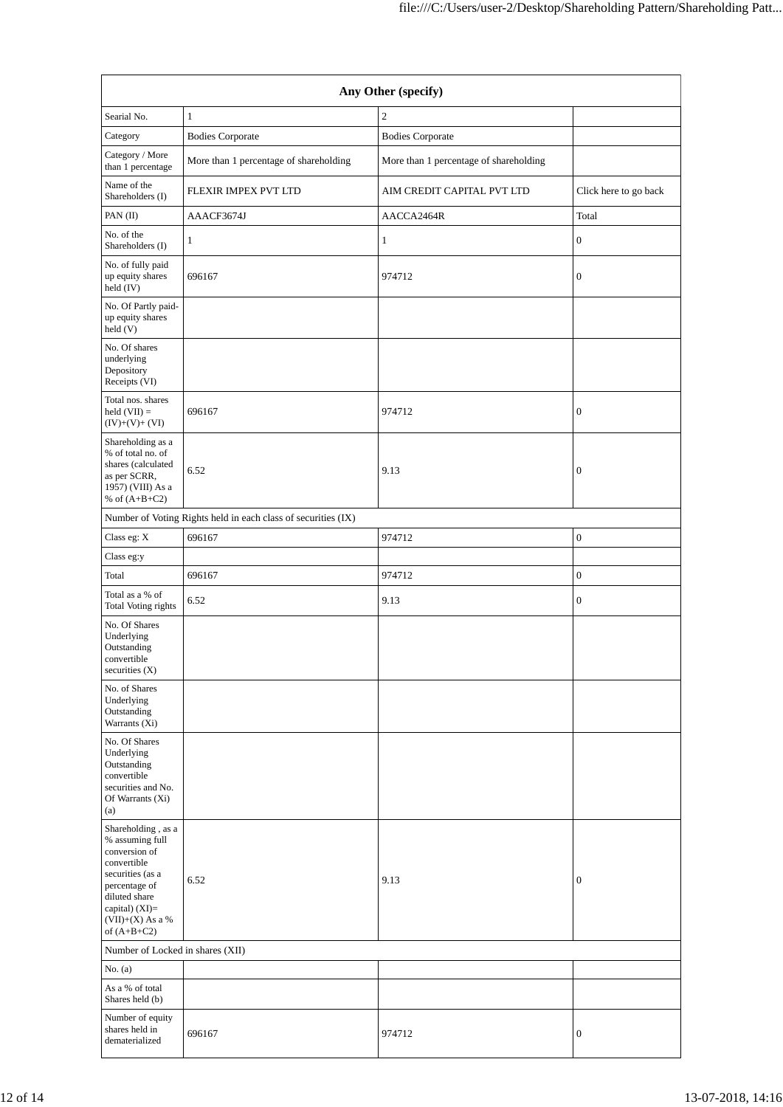| Any Other (specify)                                                                                                                                                                    |                                        |                                        |                       |  |  |  |  |
|----------------------------------------------------------------------------------------------------------------------------------------------------------------------------------------|----------------------------------------|----------------------------------------|-----------------------|--|--|--|--|
| Searial No.                                                                                                                                                                            | $\mathbf{1}$                           | $\overline{c}$                         |                       |  |  |  |  |
| Category                                                                                                                                                                               | <b>Bodies Corporate</b>                | <b>Bodies Corporate</b>                |                       |  |  |  |  |
| Category / More<br>than 1 percentage                                                                                                                                                   | More than 1 percentage of shareholding | More than 1 percentage of shareholding |                       |  |  |  |  |
| Name of the<br>Shareholders (I)                                                                                                                                                        | FLEXIR IMPEX PVT LTD                   | AIM CREDIT CAPITAL PVT LTD             | Click here to go back |  |  |  |  |
| PAN (II)                                                                                                                                                                               | AAACF3674J                             | AACCA2464R                             | Total                 |  |  |  |  |
| No. of the<br>Shareholders (I)                                                                                                                                                         | 1                                      | 1                                      | $\boldsymbol{0}$      |  |  |  |  |
| No. of fully paid<br>up equity shares<br>held (IV)                                                                                                                                     | 696167                                 | 974712                                 | $\mathbf{0}$          |  |  |  |  |
| No. Of Partly paid-<br>up equity shares<br>held(V)                                                                                                                                     |                                        |                                        |                       |  |  |  |  |
| No. Of shares<br>underlying<br>Depository<br>Receipts (VI)                                                                                                                             |                                        |                                        |                       |  |  |  |  |
| Total nos. shares<br>held $(VII) =$<br>$(IV)+(V)+(VI)$                                                                                                                                 | 696167                                 | 974712                                 | $\boldsymbol{0}$      |  |  |  |  |
| Shareholding as a<br>% of total no. of<br>shares (calculated<br>as per SCRR,<br>1957) (VIII) As a<br>% of $(A+B+C2)$                                                                   | 6.52                                   | 9.13                                   | $\boldsymbol{0}$      |  |  |  |  |
| Number of Voting Rights held in each class of securities (IX)                                                                                                                          |                                        |                                        |                       |  |  |  |  |
| Class eg: X                                                                                                                                                                            | 696167                                 | 974712                                 | $\boldsymbol{0}$      |  |  |  |  |
| Class eg:y                                                                                                                                                                             |                                        |                                        |                       |  |  |  |  |
| Total                                                                                                                                                                                  | 696167                                 | 974712                                 | $\mathbf{0}$          |  |  |  |  |
| Total as a % of<br>Total Voting rights                                                                                                                                                 | 6.52                                   | 9.13                                   | $\boldsymbol{0}$      |  |  |  |  |
| No. Of Shares<br>Underlying<br>Outstanding<br>convertible<br>securities $(X)$                                                                                                          |                                        |                                        |                       |  |  |  |  |
| No. of Shares<br>Underlying<br>Outstanding<br>Warrants (Xi)                                                                                                                            |                                        |                                        |                       |  |  |  |  |
| No. Of Shares<br>Underlying<br>Outstanding<br>convertible<br>securities and No.<br>Of Warrants (Xi)<br>(a)                                                                             |                                        |                                        |                       |  |  |  |  |
| Shareholding, as a<br>% assuming full<br>conversion of<br>convertible<br>securities (as a<br>percentage of<br>diluted share<br>capital) $(XI)=$<br>$(VII)+(X)$ As a %<br>of $(A+B+C2)$ | 6.52                                   | 9.13                                   | $\boldsymbol{0}$      |  |  |  |  |
| Number of Locked in shares (XII)                                                                                                                                                       |                                        |                                        |                       |  |  |  |  |
| No. $(a)$                                                                                                                                                                              |                                        |                                        |                       |  |  |  |  |
| As a % of total<br>Shares held (b)                                                                                                                                                     |                                        |                                        |                       |  |  |  |  |
| Number of equity<br>shares held in<br>dematerialized                                                                                                                                   | 696167                                 | 974712                                 | $\mathbf{0}$          |  |  |  |  |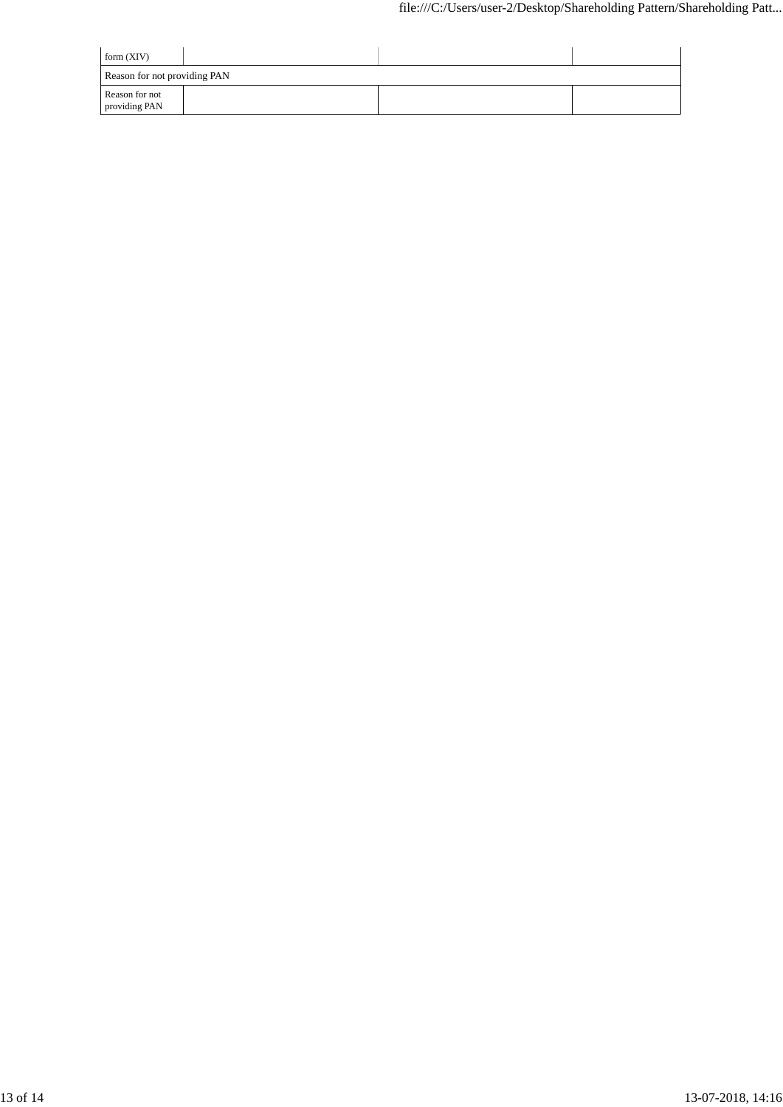| form $(XIV)$                    |  |  |  |
|---------------------------------|--|--|--|
| Reason for not providing PAN    |  |  |  |
| Reason for not<br>providing PAN |  |  |  |